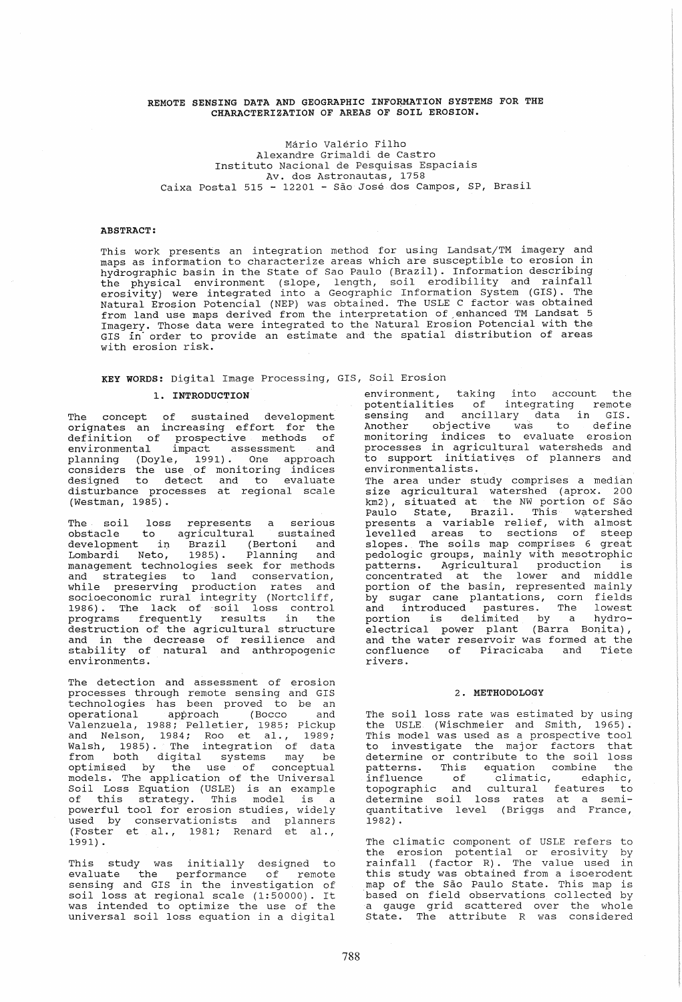## REMOTE SENSING DATA AND GEOGRAPHIC INFORMATION SYSTEMS FOR THE CHARACTERIZATION OF AREAS OF SOIL EROSION.

Mario Valerio Filho Alexandre Grimaldi de Castro Instituto Nacional de Pesquisas Espaciais Av. dos Astronautas, 1758 Caixa Postal 515 - 12201 - Sao Jose dos Campos, SP, Brasil

## ABSTRACT:

This work presents an integration method for using Landsat/TM imagery and maps as information to characterize areas which are susceptible to erosion in hydrographic basin in the state of Sao Paulo (Brazil). Information describing the physical environment (slope, length, soil erodibility and rainfall erosivity) were integrated into a Geographic Information System (GIS). The Natural Erosion Potencial (NEP) was obtained. The USLE C factor was obtained from land use maps derived from the interpretation of~enhanced TM Landsat 5 Imagery. Those data were integrated to the Natural Erosion Potencial with the GIS in' order to provide an estimate and the spatial distribution of areas with erosion risk.

# KEY WORDS: Digital Image Processing, GIS, Soil Erosion 1. INTRODUCTION

The concept of sustained development orignates an increasing effort for the definition of prospective methods of environmental impact assessment and planning (Doyle, 1991). One approach considers the use, of monitoring indices designed to detect and to evaluate disturbance processes at regional scale (Westman, 1985).

The soil loss represents a serious obstacle to agricultural sustained development in Brazil (Bertoni and Lombardi Neto, 1985). Planning and management technologies seek for methods and strategies to land conservation, and Bordooglos of Tand Conservacion, socioeconomic rural integrity (Nortcliff, 1986). The lack of soil loss control programs frequently results in the destruction of the agricultural structure absorated in the decrease of resilience and stability of natural and anthropogenic environments.

The detection and assessment of erosion processes through remote sensing and GIS technologies has been proved to be an operational approach (Bocco and Valenzuela, 1988; Pelletier, 1985; pickup valenzuela, 1988, Felleciel, 1989, Fickup<br>and Nelson, 1984; Roo et al., 1989; Walsh, 1985). The integration of data from both digital systems may be optimised by the use of conceptual models. The application of the Universal Soil Loss Equation (USLE) is an example of this strategy. This model is a powerful tool for erosion studies, widely used by conservationists and planners (Foster et al., 1981; Renard et al., 1991) .

This study was initially designed to evaluate the performance of remote sensing and GIS in the investigation of soil loss at regional scale (1:50000). It was intended to optimize the use of the universal soil loss equation in a digital

environment, taking into account the potentialities of integrating remote sensing and ancillary data in GIS. Another objective was to define monitoring indices to evaluate erosion processes in agricultural watersheds and to support initiatives of planners and environmentalists.

The area under study comprises a median size agricultural watershed (aprox. 200 km2), situated at the NW portion of São Paulo State, Brazil. This watershed presents a variable relief, with almost levelled areas to sections of steep slopes. The soils map comprises 6 great pedologic groups, mainly with mesotrophic patterns. Agricultural production is concentrated at the lower and middle portion of the basin, represented mainly by sugar cane plantations, corn fields and introduced pastures. The lowest portion is delimited by a hydro- $\frac{1}{2}$  definition  $\frac{1}{2}$  a  $\frac{1}{2}$  or  $\frac{1}{2}$  electrical power plant (Barra Bonita), and the water reservoir was formed at the confluence of Piracicaba and Tiete rivers.

## 2. METHODOLOGY

The soil loss rate was estimated by using the USLE (Wischmeier and Smith, 1965). This model was used as a prospective tool to investigate the major factors that determine or contribute to the soil loss patterns. This equation combine the influence of climatic, edaphic, topographic and cultural features to determine soil loss rates at a semiquantitative level (Briggs and France, 1982) .

The climatic component of USLE refers to the erosion potential or erosivity by end dression pocential of crestate<sub>1</sub>  $z_1$ <br>rainfall (factor R). The value used in this study was obtained from a isoerodent map of the Sao Paulo State. This map is based on field observations collected by a gauge grid scattered over the whole a gauge grid scattered over the whole<br>State. The attribute R was considered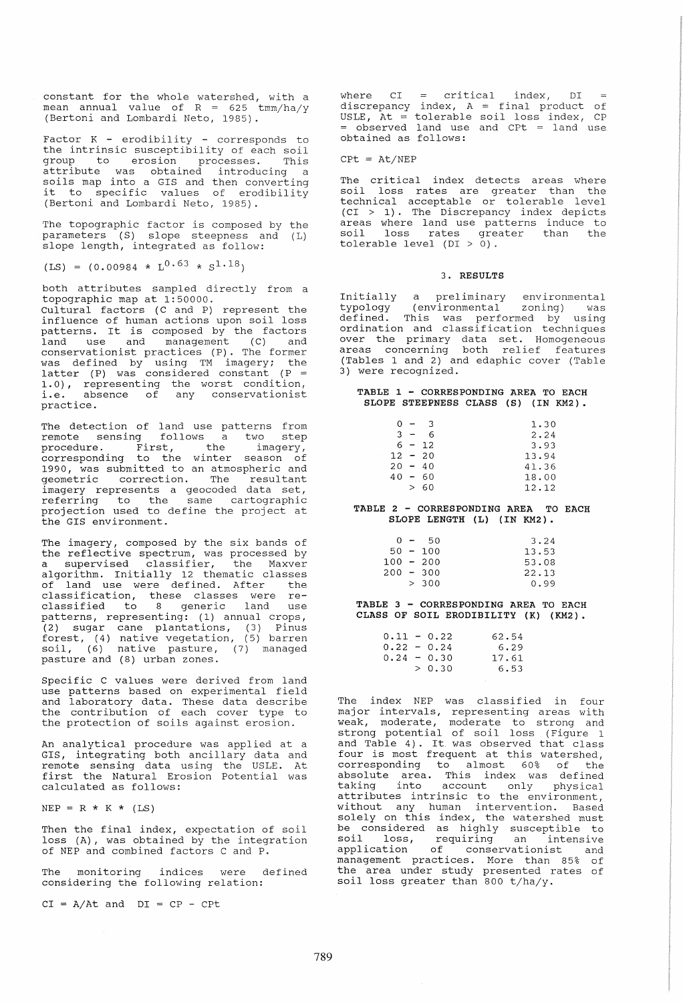constant for the whole watershed, with a mean annual value of  $R = 625 \t{mm/ha/y}$ (Bertoni and Lombardi Neto, 1985).

Factor  $K -$  erodibility - corresponds to the intrinsic susceptibility of each soil<br>group to erosion processes. This group to erosion processes. attribute was obtained introducing a soils map into a GIS and then converting it to specific values of erodibility (Bertoni and Lombardi Neto, 1985).

The topographic factor is composed by the parameters (S) slope steepness and (L) slope length, integrated as follow:

 $(LS) = (0.00984 * L^{0.63} * S^{1.18})$ 

both attributes sampled directly from a topographic map at 1:50000.

Cultural factors (C and P) represent the influence of human actions upon soil loss patterns. It is composed by the factors land use and management (C) and conservationist practices (P). The former was defined by using TM imagery; the latter (P) was considered constant (P <sup>=</sup> 1.0), representing the worst condition, i.e. absence of any conservationist practice.

The detection of land use patterns from remote sensing follows a two step procedure. First, the imagery, corresponding to the winter season of 1990, was submitted to an atmospheric and geometric correction. The resultant imagery represents a geocoded data set, Imayor, roprobonce a goodbaca aada boo, projection used to define the project at the GIS environment.

The imagery, composed by the six bands of the rangery, composed by the BIA bands of a supervised classifier, the Maxver algorithm. Initially 12 thematic classes of land use were defined. After the classification, these classes were reclassified to 8 generic land use patterns, representing: (1) annual crops, (2) sugar cane plantations, (3) Pinus forest, (4) native vegetation, (5) barren soil, (6) native pasture, (7) managed pasture and (8) urban zones.

Specific C values were derived from land use patterns based on experimental field and laboratory data. These data describe the contribution of each cover type to the protection of soils against erosion.

An analytical procedure was applied at a GIS, integrating both ancillary data and remote sensing data using the USLE. At first the Natural Erosion Potential was calculated as follows:

 $NEP = R * K * (LS)$ 

Then the final index, expectation of soil loss (A), was obtained by the integration of NEP and combined factors C and P.

The monitoring indices were defined considering the following relation:

 $CI = A/At$  and  $DI = CP - CPL$ 

where CI = critical index, DI discrepancy index, A = final product of arborepancy rhach, he finds produce of<br>USLE, At = tolerable soil loss index, CP = observed land use and CPt = land use obtained as follows:

 $CPL = At/NEP$ 

The critical index detects areas where<br>soil loss rates are greater than the loss rates are greater than the technical acceptable or tolerable level (CI > 1). The Discrepancy index depicts areas where land use patterns induce to areas more rand doe paceering madee es tolerable level (DI > 0).

#### 3. RESULTS

Initially a preliminary environmental typology (environmental zoning) was defined. This was performed by using ordination and classification techniques over the primary data set. Homogeneous over ene primary data set: homogeneous<br>areas concerning both relief features (Tables 1 and 2) and edaphic cover (Table 3) were recognized.

|  | TABLE 1 - CORRESPONDING AREA TO EACH |  |  |
|--|--------------------------------------|--|--|
|  | SLOPE STEEPNESS CLASS (S) (IN KM2).  |  |  |

|       | $0 - 3$   | 1.30  |
|-------|-----------|-------|
| $3 -$ | 6         | 2.24  |
|       | $6 - 12$  | 3.93  |
|       | $12 - 20$ | 13.94 |
|       | $20 - 40$ | 41.36 |
|       | $40 - 60$ | 18.00 |
|       | > 60      | 12.12 |

TABLE 2 - CORRESPONDING AREA TO EACH SLOPE LENGTH (L) (IN KM2).

|  | 3.24                                                   |
|--|--------------------------------------------------------|
|  | 13.53                                                  |
|  | 53.08                                                  |
|  | 22.13                                                  |
|  | 0.99                                                   |
|  | 0 – 50<br>$50 - 100$<br>100 - 200<br>200 - 300<br>>300 |

TABLE 3 - CORRESPONDING AREA TO EACH CLASS OF SOIL ERODIBILITY *(K)* (KM2).

|  | 0.11 - 0.22   | 62.54 |
|--|---------------|-------|
|  | $0.22 - 0.24$ | 6.29  |
|  | $0.24 - 0.30$ | 17.61 |
|  | > 0.30        | 6.53  |
|  |               |       |

The index NEP was classified in four Intervals, representing areas with weak, moderate, noderate to strong and strong potential of soil loss (Figure 1 and Table 4). It. was observed that class and fabic 4). It was observed that thas correspondlng to almost 60% of the absolute area. This index was defined asserate area: This Thack was acrifical<br>taking into account only physical caning theo account only physical<br>attributes intrinsic to the environment, without any human intervention. Based solely on this index, the watershed must be considered as highly susceptible to so considered as highly susceptible to application of conservationist and management practices. More than 85% of the area under study presented rates of soil loss greater than 800 t/ha/y.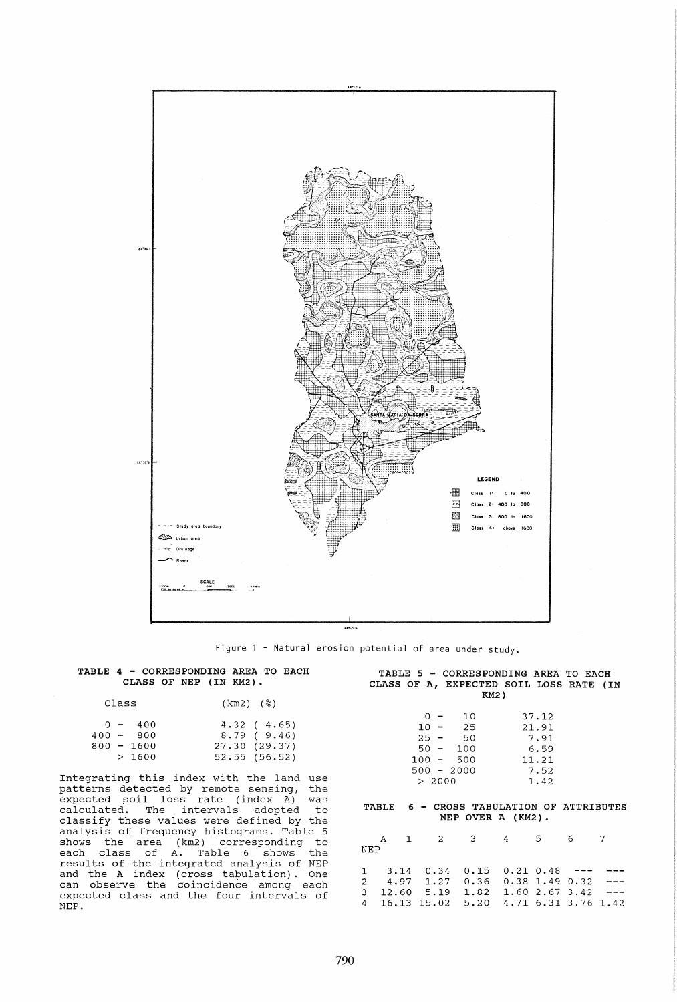

Figure 1 - Natural erosion potential of area under study.

# TABLE 4 - CORRESPONDING AREA TO EACH CLASS OF NEP (IN KM2).

| Class |                        | $(km2)$ (%)              |
|-------|------------------------|--------------------------|
|       | $0 - 400$<br>400 - 800 | 4.32(4.65)<br>8.79(9.46) |
|       | 800 - 1600             | 27.30(29.37)             |
|       | >1600                  | 52.55(56.52)             |

Integrating this index with the land use patterns detected by remote sensing, the paccerns accessed by remote bending, the<br>expected soil loss rate (index A) was calculated. The intervals adopted to classify these values were defined by the analysis of frequency histograms. Table 5 shows the area (km2) corresponding to each class of A. Table 6 shows the results of the integrated analysis of NEP and the A index (cross tabulation). One can observe the coincidence among each expected class and the four intervals of NEP.

|      |  |  | TABLE 5 - CORRESPONDING AREA TO EACH    |  |  |  |  |
|------|--|--|-----------------------------------------|--|--|--|--|
|      |  |  | CLASS OF A, EXPECTED SOIL LOSS RATE (IN |  |  |  |  |
| KM2) |  |  |                                         |  |  |  |  |

|         | ი –    | 10           | 37.12 |
|---------|--------|--------------|-------|
| 10      | $\sim$ | 25           | 21.91 |
| $25 -$  |        | 50           | 7.91  |
| $50 -$  |        | 100          | 6.59  |
| $100 -$ |        | 500          | 11.21 |
|         |        | $500 - 2000$ | 7.52  |
| > 2000  |        |              | 1.42  |

# TABLE 6 - CROSS TABULATION OF ATTRIBUTES NEP OVER A (KM2).

|     | A 1 2 3 4 5 6 7                             |  |  |  |
|-----|---------------------------------------------|--|--|--|
| NEP |                                             |  |  |  |
|     |                                             |  |  |  |
|     | $1$ 3.14 0.34 0.15 0.21 0.48 --- ---        |  |  |  |
|     | $2, 4.97, 1.27, 0.36, 0.38, 1.49, 0.32$ --- |  |  |  |
|     | $3$ 12.60 5.19 1.82 1.60 2.67 3.42 ---      |  |  |  |
|     | 4 16.13 15.02 5.20 4.71 6.31 3.76 1.42      |  |  |  |